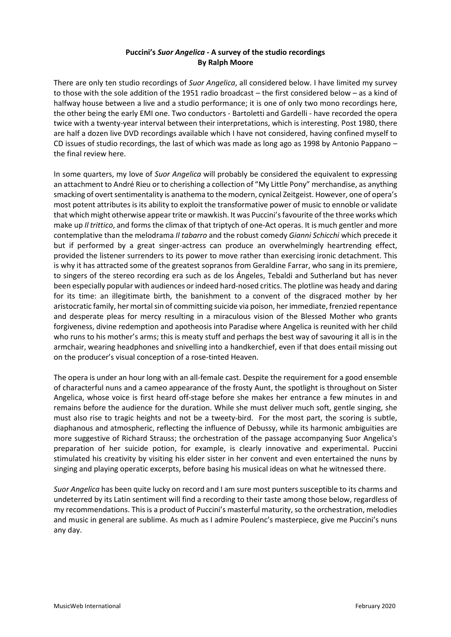# **Puccini's** *Suor Angelica -* **A survey of the studio recordings By Ralph Moore**

There are only ten studio recordings of *Suor Angelica*, all considered below. I have limited my survey to those with the sole addition of the 1951 radio broadcast – the first considered below – as a kind of halfway house between a live and a studio performance; it is one of only two mono recordings here, the other being the early EMI one. Two conductors - Bartoletti and Gardelli - have recorded the opera twice with a twenty-year interval between their interpretations, which is interesting. Post 1980, there are half a dozen live DVD recordings available which I have not considered, having confined myself to CD issues of studio recordings, the last of which was made as long ago as 1998 by Antonio Pappano – the final review here.

In some quarters, my love of *Suor Angelica* will probably be considered the equivalent to expressing an attachment to André Rieu or to cherishing a collection of "My Little Pony" merchandise, as anything smacking of overt sentimentality is anathema to the modern, cynical Zeitgeist. However, one of opera's most potent attributes is its ability to exploit the transformative power of music to ennoble or validate that which might otherwise appear trite or mawkish. It was Puccini'sfavourite of the three works which make up *Il trittico*, and forms the climax of that triptych of one-Act operas. It is much gentler and more contemplative than the melodrama *Il tabarro* and the robust comedy *Gianni Schicchi* which precede it but if performed by a great singer-actress can produce an overwhelmingly heartrending effect, provided the listener surrenders to its power to move rather than exercising ironic detachment. This is why it has attracted some of the greatest sopranos from Geraldine Farrar, who sang in its premiere, to singers of the stereo recording era such as de los Ángeles, Tebaldi and Sutherland but has never been especially popular with audiences or indeed hard-nosed critics. The plotline was heady and daring for its time: an illegitimate birth, the banishment to a convent of the disgraced mother by her aristocratic family, her mortal sin of committing suicide via poison, her immediate, frenzied repentance and desperate pleas for mercy resulting in a miraculous vision of the Blessed Mother who grants forgiveness, divine redemption and apotheosis into Paradise where Angelica is reunited with her child who runs to his mother's arms; this is meaty stuff and perhaps the best way of savouring it all is in the armchair, wearing headphones and snivelling into a handkerchief, even if that does entail missing out on the producer's visual conception of a rose-tinted Heaven.

The opera is under an hour long with an all-female cast. Despite the requirement for a good ensemble of characterful nuns and a cameo appearance of the frosty Aunt, the spotlight is throughout on Sister Angelica, whose voice is first heard off-stage before she makes her entrance a few minutes in and remains before the audience for the duration. While she must deliver much soft, gentle singing, she must also rise to tragic heights and not be a tweety-bird. For the most part, the scoring is subtle, diaphanous and atmospheric, reflecting the influence of Debussy, while its harmonic ambiguities are more suggestive of Richard Strauss; the orchestration of the passage accompanying Suor Angelica's preparation of her suicide potion, for example, is clearly innovative and experimental. Puccini stimulated his creativity by visiting his elder sister in her convent and even entertained the nuns by singing and playing operatic excerpts, before basing his musical ideas on what he witnessed there.

*Suor Angelica* has been quite lucky on record and I am sure most punters susceptible to its charms and undeterred by its Latin sentiment will find a recording to their taste among those below, regardless of my recommendations. This is a product of Puccini's masterful maturity, so the orchestration, melodies and music in general are sublime. As much as I admire Poulenc's masterpiece, give me Puccini's nuns any day.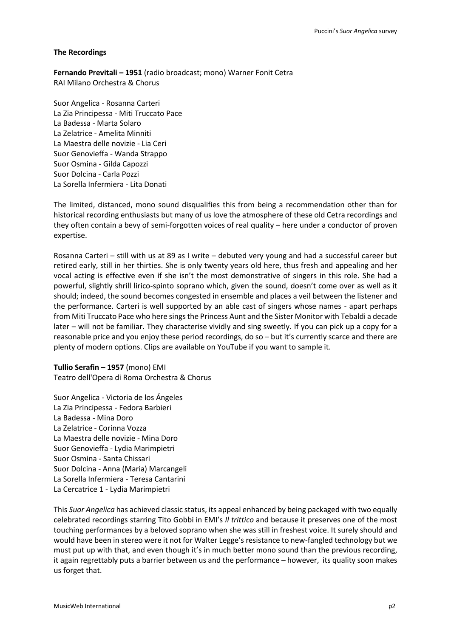## **The Recordings**

**Fernando Previtali – 1951** (radio broadcast; mono) Warner Fonit Cetra RAI Milano Orchestra & Chorus

Suor Angelica - Rosanna Carteri La Zia Principessa - Miti Truccato Pace La Badessa - Marta Solaro La Zelatrice - Amelita Minniti La Maestra delle novizie - Lia Ceri Suor Genovieffa - Wanda Strappo Suor Osmina - Gilda Capozzi Suor Dolcina - Carla Pozzi La Sorella Infermiera - Lita Donati

The limited, distanced, mono sound disqualifies this from being a recommendation other than for historical recording enthusiasts but many of us love the atmosphere of these old Cetra recordings and they often contain a bevy of semi-forgotten voices of real quality – here under a conductor of proven expertise.

Rosanna Carteri – still with us at 89 as I write – debuted very young and had a successful career but retired early, still in her thirties. She is only twenty years old here, thus fresh and appealing and her vocal acting is effective even if she isn't the most demonstrative of singers in this role. She had a powerful, slightly shrill lirico-spinto soprano which, given the sound, doesn't come over as well as it should; indeed, the sound becomes congested in ensemble and places a veil between the listener and the performance. Carteri is well supported by an able cast of singers whose names - apart perhaps from Miti Truccato Pace who here sings the Princess Aunt and the Sister Monitor with Tebaldi a decade later – will not be familiar. They characterise vividly and sing sweetly. If you can pick up a copy for a reasonable price and you enjoy these period recordings, do so – but it's currently scarce and there are plenty of modern options. Clips are available on YouTube if you want to sample it.

**Tullio Serafin – 1957** (mono) EMI Teatro dell'Opera di Roma Orchestra & Chorus

Suor Angelica - Victoria de los Ángeles La Zia Principessa - Fedora Barbieri La Badessa - Mina Doro La Zelatrice - Corinna Vozza La Maestra delle novizie - Mina Doro Suor Genovieffa - Lydia Marimpietri Suor Osmina - Santa Chissari Suor Dolcina - Anna (Maria) Marcangeli La Sorella Infermiera - Teresa Cantarini La Cercatrice 1 - Lydia Marimpietri

This *Suor Angelica* has achieved classic status, its appeal enhanced by being packaged with two equally celebrated recordings starring Tito Gobbi in EMI's *Il trittico* and because it preserves one of the most touching performances by a beloved soprano when she was still in freshest voice. It surely should and would have been in stereo were it not for Walter Legge's resistance to new-fangled technology but we must put up with that, and even though it's in much better mono sound than the previous recording, it again regrettably puts a barrier between us and the performance – however, its quality soon makes us forget that.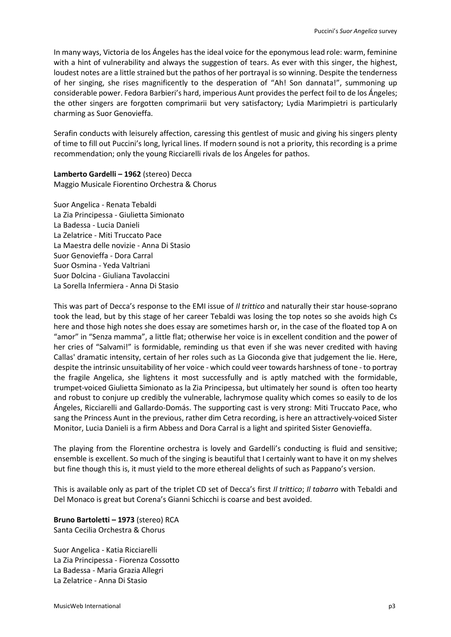In many ways, Victoria de los Ángeles has the ideal voice for the eponymous lead role: warm, feminine with a hint of vulnerability and always the suggestion of tears. As ever with this singer, the highest, loudest notes are a little strained but the pathos of her portrayal is so winning. Despite the tenderness of her singing, she rises magnificently to the desperation of "Ah! Son dannata!", summoning up considerable power. Fedora Barbieri's hard, imperious Aunt provides the perfect foil to de los Ángeles; the other singers are forgotten comprimarii but very satisfactory; Lydia Marimpietri is particularly charming as Suor Genovieffa.

Serafin conducts with leisurely affection, caressing this gentlest of music and giving his singers plenty of time to fill out Puccini's long, lyrical lines. If modern sound is not a priority, this recording is a prime recommendation; only the young Ricciarelli rivals de los Ángeles for pathos.

**Lamberto Gardelli – 1962** (stereo) Decca Maggio Musicale Fiorentino Orchestra & Chorus

Suor Angelica - Renata Tebaldi La Zia Principessa - Giulietta Simionato La Badessa - Lucia Danieli La Zelatrice - Miti Truccato Pace La Maestra delle novizie - Anna Di Stasio Suor Genovieffa - Dora Carral Suor Osmina - Yeda Valtriani Suor Dolcina - Giuliana Tavolaccini La Sorella Infermiera - Anna Di Stasio

This was part of Decca's response to the EMI issue of *Il trittico* and naturally their star house-soprano took the lead, but by this stage of her career Tebaldi was losing the top notes so she avoids high Cs here and those high notes she does essay are sometimes harsh or, in the case of the floated top A on "amor" in "Senza mamma", a little flat; otherwise her voice is in excellent condition and the power of her cries of "Salvami!" is formidable, reminding us that even if she was never credited with having Callas' dramatic intensity, certain of her roles such as La Gioconda give that judgement the lie. Here, despite the intrinsic unsuitability of her voice - which could veer towards harshness of tone - to portray the fragile Angelica, she lightens it most successfully and is aptly matched with the formidable, trumpet-voiced Giulietta Simionato as la Zia Principessa, but ultimately her sound is often too hearty and robust to conjure up credibly the vulnerable, lachrymose quality which comes so easily to de los Ángeles, Ricciarelli and Gallardo-Domás. The supporting cast is very strong: Miti Truccato Pace, who sang the Princess Aunt in the previous, rather dim Cetra recording, is here an attractively-voiced Sister Monitor, Lucia Danieli is a firm Abbess and Dora Carral is a light and spirited Sister Genovieffa.

The playing from the Florentine orchestra is lovely and Gardelli's conducting is fluid and sensitive; ensemble is excellent. So much of the singing is beautiful that I certainly want to have it on my shelves but fine though this is, it must yield to the more ethereal delights of such as Pappano's version.

This is available only as part of the triplet CD set of Decca's first *Il trittico*; *Il tabarro* with Tebaldi and Del Monaco is great but Corena's Gianni Schicchi is coarse and best avoided.

**Bruno Bartoletti – 1973** (stereo) RCA Santa Cecilia Orchestra & Chorus

Suor Angelica - Katia Ricciarelli La Zia Principessa - Fiorenza Cossotto La Badessa - Maria Grazia Allegri La Zelatrice - Anna Di Stasio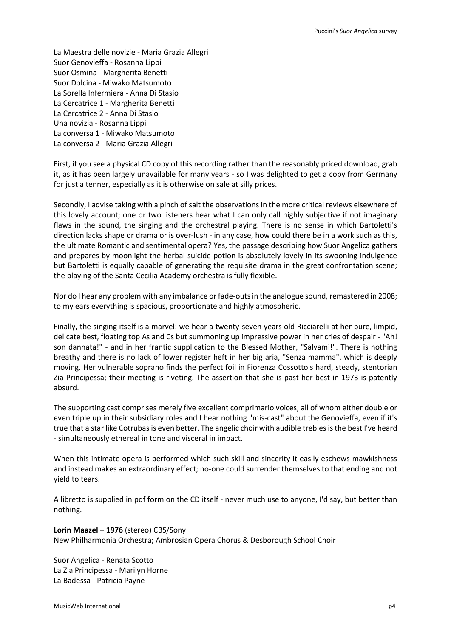La Maestra delle novizie - Maria Grazia Allegri Suor Genovieffa - Rosanna Lippi Suor Osmina - Margherita Benetti Suor Dolcina - Miwako Matsumoto La Sorella Infermiera - Anna Di Stasio La Cercatrice 1 - Margherita Benetti La Cercatrice 2 - Anna Di Stasio Una novizia - Rosanna Lippi La conversa 1 - Miwako Matsumoto La conversa 2 - Maria Grazia Allegri

First, if you see a physical CD copy of this recording rather than the reasonably priced download, grab it, as it has been largely unavailable for many years - so I was delighted to get a copy from Germany for just a tenner, especially as it is otherwise on sale at silly prices.

Secondly, I advise taking with a pinch of salt the observations in the more critical reviews elsewhere of this lovely account; one or two listeners hear what I can only call highly subjective if not imaginary flaws in the sound, the singing and the orchestral playing. There is no sense in which Bartoletti's direction lacks shape or drama or is over-lush - in any case, how could there be in a work such as this, the ultimate Romantic and sentimental opera? Yes, the passage describing how Suor Angelica gathers and prepares by moonlight the herbal suicide potion is absolutely lovely in its swooning indulgence but Bartoletti is equally capable of generating the requisite drama in the great confrontation scene; the playing of the Santa Cecilia Academy orchestra is fully flexible.

Nor do I hear any problem with any imbalance or fade-outs in the analogue sound, remastered in 2008; to my ears everything is spacious, proportionate and highly atmospheric.

Finally, the singing itself is a marvel: we hear a twenty-seven years old Ricciarelli at her pure, limpid, delicate best, floating top As and Cs but summoning up impressive power in her cries of despair - "Ah! son dannata!" - and in her frantic supplication to the Blessed Mother, "Salvami!". There is nothing breathy and there is no lack of lower register heft in her big aria, "Senza mamma", which is deeply moving. Her vulnerable soprano finds the perfect foil in Fiorenza Cossotto's hard, steady, stentorian Zia Principessa; their meeting is riveting. The assertion that she is past her best in 1973 is patently absurd.

The supporting cast comprises merely five excellent comprimario voices, all of whom either double or even triple up in their subsidiary roles and I hear nothing "mis-cast" about the Genovieffa, even if it's true that a star like Cotrubas is even better. The angelic choir with audible trebles is the best I've heard - simultaneously ethereal in tone and visceral in impact.

When this intimate opera is performed which such skill and sincerity it easily eschews mawkishness and instead makes an extraordinary effect; no-one could surrender themselves to that ending and not yield to tears.

A libretto is supplied in pdf form on the CD itself - never much use to anyone, I'd say, but better than nothing.

**Lorin Maazel – 1976** (stereo) CBS/Sony New Philharmonia Orchestra; Ambrosian Opera Chorus & Desborough School Choir

Suor Angelica - Renata Scotto La Zia Principessa - Marilyn Horne La Badessa - Patricia Payne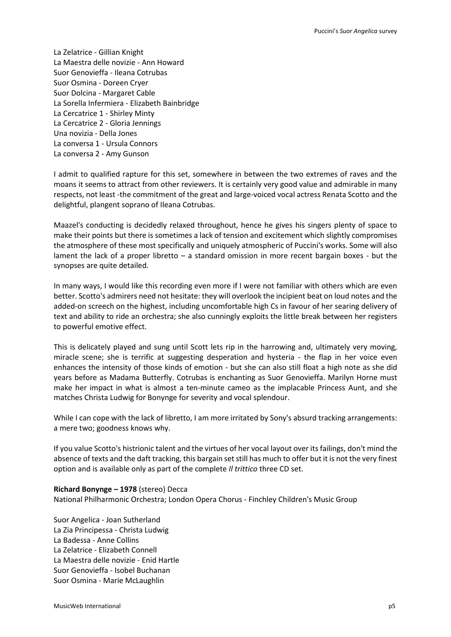La Zelatrice - Gillian Knight La Maestra delle novizie - Ann Howard Suor Genovieffa - Ileana Cotrubas Suor Osmina - Doreen Cryer Suor Dolcina - Margaret Cable La Sorella Infermiera - Elizabeth Bainbridge La Cercatrice 1 - Shirley Minty La Cercatrice 2 - Gloria Jennings Una novizia - Della Jones La conversa 1 - Ursula Connors La conversa 2 - Amy Gunson

I admit to qualified rapture for this set, somewhere in between the two extremes of raves and the moans it seems to attract from other reviewers. It is certainly very good value and admirable in many respects, not least -the commitment of the great and large-voiced vocal actress Renata Scotto and the delightful, plangent soprano of Ileana Cotrubas.

Maazel's conducting is decidedly relaxed throughout, hence he gives his singers plenty of space to make their points but there is sometimes a lack of tension and excitement which slightly compromises the atmosphere of these most specifically and uniquely atmospheric of Puccini's works. Some will also lament the lack of a proper libretto – a standard omission in more recent bargain boxes - but the synopses are quite detailed.

In many ways, I would like this recording even more if I were not familiar with others which are even better. Scotto's admirers need not hesitate: they will overlook the incipient beat on loud notes and the added-on screech on the highest, including uncomfortable high Cs in favour of her searing delivery of text and ability to ride an orchestra; she also cunningly exploits the little break between her registers to powerful emotive effect.

This is delicately played and sung until Scott lets rip in the harrowing and, ultimately very moving, miracle scene; she is terrific at suggesting desperation and hysteria - the flap in her voice even enhances the intensity of those kinds of emotion - but she can also still float a high note as she did years before as Madama Butterfly. Cotrubas is enchanting as Suor Genovieffa. Marilyn Horne must make her impact in what is almost a ten-minute cameo as the implacable Princess Aunt, and she matches Christa Ludwig for Bonynge for severity and vocal splendour.

While I can cope with the lack of libretto, I am more irritated by Sony's absurd tracking arrangements: a mere two; goodness knows why.

If you value Scotto's histrionic talent and the virtues of her vocal layout over its failings, don't mind the absence of texts and the daft tracking, this bargain set still has much to offer but it is not the very finest option and is available only as part of the complete *Il trittico* three CD set.

#### **Richard Bonynge – 1978** (stereo) Decca

National Philharmonic Orchestra; London Opera Chorus - Finchley Children's Music Group

Suor Angelica - Joan Sutherland La Zia Principessa - Christa Ludwig La Badessa - Anne Collins La Zelatrice - Elizabeth Connell La Maestra delle novizie - Enid Hartle Suor Genovieffa - Isobel Buchanan Suor Osmina - Marie McLaughlin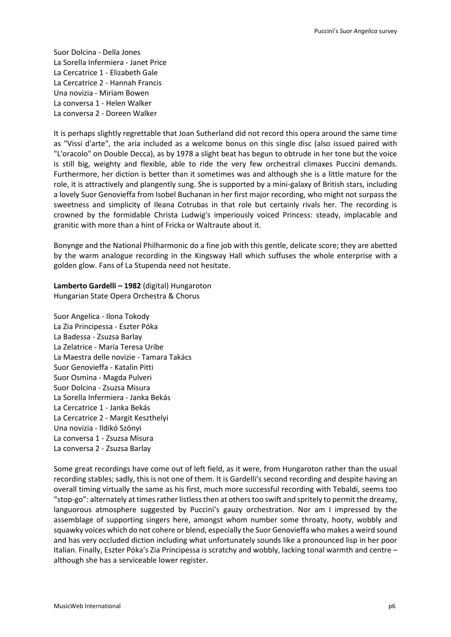Suor Dolcina - Della Jones La Sorella Infermiera - Janet Price La Cercatrice 1 - Elizabeth Gale La Cercatrice 2 - Hannah Francis Una novizia - Miriam Bowen La conversa 1 - Helen Walker La conversa 2 - Doreen Walker

It is perhaps slightly regrettable that Joan Sutherland did not record this opera around the same time as "Vissi d'arte", the aria included as a welcome bonus on this single disc (also issued paired with "L'oracolo" on Double Decca), as by 1978 a slight beat has begun to obtrude in her tone but the voice is still big, weighty and flexible, able to ride the very few orchestral climaxes Puccini demands. Furthermore, her diction is better than it sometimes was and although she is a little mature for the role, it is attractively and plangently sung. She is supported by a mini-galaxy of British stars, including a lovely Suor Genovieffa from Isobel Buchanan in her first major recording, who might not surpass the sweetness and simplicity of Ileana Cotrubas in that role but certainly rivals her. The recording is crowned by the formidable Christa Ludwig's imperiously voiced Princess: steady, implacable and granitic with more than a hint of Fricka or Waltraute about it.

Bonynge and the National Philharmonic do a fine job with this gentle, delicate score; they are abetted by the warm analogue recording in the Kingsway Hall which suffuses the whole enterprise with a golden glow. Fans of La Stupenda need not hesitate.

**Lamberto Gardelli – 1982** (digital) Hungaroton Hungarian State Opera Orchestra & Chorus

Suor Angelica - Ilona Tokody La Zia Principessa - Eszter Póka La Badessa - Zsuzsa Barlay La Zelatrice - Maria Teresa Uribe La Maestra delle novizie - Tamara Takács Suor Genovieffa - Katalin Pitti Suor Osmina - Magda Pulveri Suor Dolcina - Zsuzsa Misura La Sorella Infermiera - Janka Bekás La Cercatrice 1 - Janka Bekás La Cercatrice 2 - Margit Keszthelyi Una novizia - Ildikó Szönyi La conversa 1 - Zsuzsa Misura La conversa 2 - Zsuzsa Barlay

Some great recordings have come out of left field, as it were, from Hungaroton rather than the usual recording stables; sadly, this is not one of them. It is Gardelli's second recording and despite having an overall timing virtually the same as his first, much more successful recording with Tebaldi, seems too "stop-go": alternately at times rather listless then at otherstoo swift and spritely to permit the dreamy, languorous atmosphere suggested by Puccini's gauzy orchestration. Nor am I impressed by the assemblage of supporting singers here, amongst whom number some throaty, hooty, wobbly and squawky voices which do not cohere or blend, especially the Suor Genovieffa who makes a weird sound and has very occluded diction including what unfortunately sounds like a pronounced lisp in her poor Italian. Finally, Eszter Póka's Zia Principessa is scratchy and wobbly, lacking tonal warmth and centre – although she has a serviceable lower register.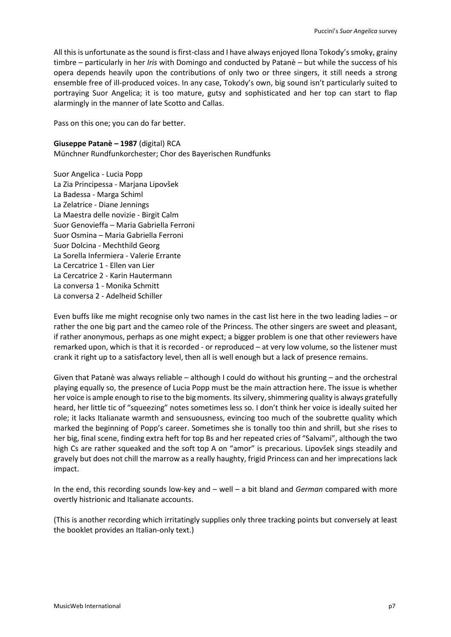All this is unfortunate as the sound is first-class and I have always enjoyed Ilona Tokody's smoky, grainy timbre – particularly in her *Iris* with Domingo and conducted by Patanè – but while the success of his opera depends heavily upon the contributions of only two or three singers, it still needs a strong ensemble free of ill-produced voices. In any case, Tokody's own, big sound isn't particularly suited to portraying Suor Angelica; it is too mature, gutsy and sophisticated and her top can start to flap alarmingly in the manner of late Scotto and Callas.

Pass on this one; you can do far better.

**Giuseppe Patanè – 1987** (digital) RCA

Münchner Rundfunkorchester; Chor des Bayerischen Rundfunks

Suor Angelica - Lucia Popp La Zia Principessa - Marjana Lipovšek La Badessa - Marga Schiml La Zelatrice - Diane Jennings La Maestra delle novizie - Birgit Calm Suor Genovieffa – Maria Gabriella Ferroni Suor Osmina – Maria Gabriella Ferroni Suor Dolcina - Mechthild Georg La Sorella Infermiera - Valerie Errante La Cercatrice 1 - Ellen van Lier La Cercatrice 2 - Karin Hautermann La conversa 1 - Monika Schmitt La conversa 2 - Adelheid Schiller

Even buffs like me might recognise only two names in the cast list here in the two leading ladies – or rather the one big part and the cameo role of the Princess. The other singers are sweet and pleasant, if rather anonymous, perhaps as one might expect; a bigger problem is one that other reviewers have remarked upon, which is that it is recorded - or reproduced – at very low volume, so the listener must crank it right up to a satisfactory level, then all is well enough but a lack of presence remains.

Given that Patanè was always reliable – although I could do without his grunting – and the orchestral playing equally so, the presence of Lucia Popp must be the main attraction here. The issue is whether her voice is ample enough to rise to the big moments. Its silvery, shimmering quality is always gratefully heard, her little tic of "squeezing" notes sometimes less so. I don't think her voice is ideally suited her role; it lacks Italianate warmth and sensuousness, evincing too much of the soubrette quality which marked the beginning of Popp's career. Sometimes she is tonally too thin and shrill, but she rises to her big, final scene, finding extra heft for top Bs and her repeated cries of "Salvami", although the two high Cs are rather squeaked and the soft top A on "amor" is precarious. Lipovšek sings steadily and gravely but does not chill the marrow as a really haughty, frigid Princess can and her imprecations lack impact.

In the end, this recording sounds low-key and – well – a bit bland and *German* compared with more overtly histrionic and Italianate accounts.

(This is another recording which irritatingly supplies only three tracking points but conversely at least the booklet provides an Italian-only text.)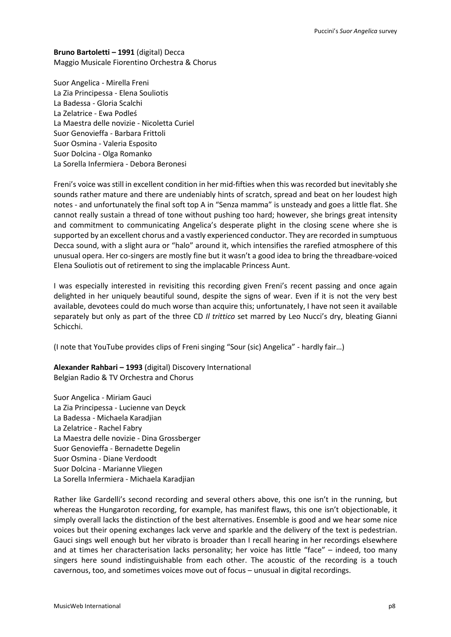**Bruno Bartoletti – 1991** (digital) Decca Maggio Musicale Fiorentino Orchestra & Chorus

Suor Angelica - Mirella Freni La Zia Principessa - Elena Souliotis La Badessa - Gloria Scalchi La Zelatrice - Ewa Podleś La Maestra delle novizie - Nicoletta Curiel Suor Genovieffa - Barbara Frittoli Suor Osmina - Valeria Esposito Suor Dolcina - Olga Romanko La Sorella Infermiera - Debora Beronesi

Freni's voice was still in excellent condition in her mid-fifties when this was recorded but inevitably she sounds rather mature and there are undeniably hints of scratch, spread and beat on her loudest high notes - and unfortunately the final soft top A in "Senza mamma" is unsteady and goes a little flat. She cannot really sustain a thread of tone without pushing too hard; however, she brings great intensity and commitment to communicating Angelica's desperate plight in the closing scene where she is supported by an excellent chorus and a vastly experienced conductor. They are recorded in sumptuous Decca sound, with a slight aura or "halo" around it, which intensifies the rarefied atmosphere of this unusual opera. Her co-singers are mostly fine but it wasn't a good idea to bring the threadbare-voiced Elena Souliotis out of retirement to sing the implacable Princess Aunt.

I was especially interested in revisiting this recording given Freni's recent passing and once again delighted in her uniquely beautiful sound, despite the signs of wear. Even if it is not the very best available, devotees could do much worse than acquire this; unfortunately, I have not seen it available separately but only as part of the three CD *Il trittico* set marred by Leo Nucci's dry, bleating Gianni Schicchi.

(I note that YouTube provides clips of Freni singing "Sour (sic) Angelica" - hardly fair…)

**Alexander Rahbari – 1993** (digital) Discovery International Belgian Radio & TV Orchestra and Chorus

Suor Angelica - Miriam Gauci La Zia Principessa - Lucienne van Deyck La Badessa - Michaela Karadjian La Zelatrice - Rachel Fabry La Maestra delle novizie - Dina Grossberger Suor Genovieffa - Bernadette Degelin Suor Osmina - Diane Verdoodt Suor Dolcina - Marianne Vliegen La Sorella Infermiera - Michaela Karadjian

Rather like Gardelli's second recording and several others above, this one isn't in the running, but whereas the Hungaroton recording, for example, has manifest flaws, this one isn't objectionable, it simply overall lacks the distinction of the best alternatives. Ensemble is good and we hear some nice voices but their opening exchanges lack verve and sparkle and the delivery of the text is pedestrian. Gauci sings well enough but her vibrato is broader than I recall hearing in her recordings elsewhere and at times her characterisation lacks personality; her voice has little "face" – indeed, too many singers here sound indistinguishable from each other. The acoustic of the recording is a touch cavernous, too, and sometimes voices move out of focus – unusual in digital recordings.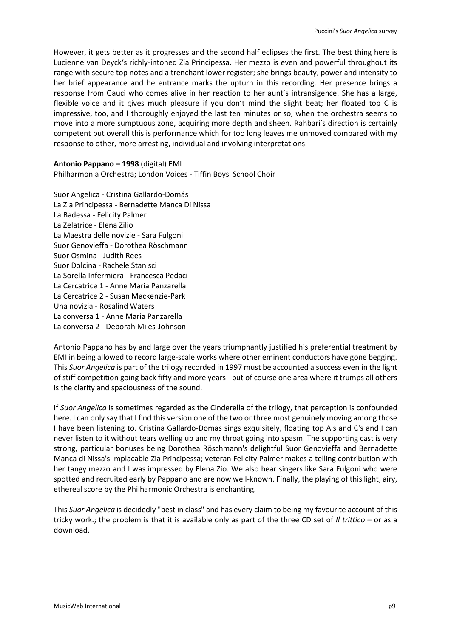However, it gets better as it progresses and the second half eclipses the first. The best thing here is Lucienne van Deyck's richly-intoned Zia Principessa. Her mezzo is even and powerful throughout its range with secure top notes and a trenchant lower register; she brings beauty, power and intensity to her brief appearance and he entrance marks the upturn in this recording. Her presence brings a response from Gauci who comes alive in her reaction to her aunt's intransigence. She has a large, flexible voice and it gives much pleasure if you don't mind the slight beat; her floated top C is impressive, too, and I thoroughly enjoyed the last ten minutes or so, when the orchestra seems to move into a more sumptuous zone, acquiring more depth and sheen. Rahbari's direction is certainly competent but overall this is performance which for too long leaves me unmoved compared with my response to other, more arresting, individual and involving interpretations.

**Antonio Pappano – 1998** (digital) EMI Philharmonia Orchestra; London Voices - Tiffin Boys' School Choir

Suor Angelica - Cristina Gallardo-Domás La Zia Principessa - Bernadette Manca Di Nissa La Badessa - Felicity Palmer La Zelatrice - Elena Zilio La Maestra delle novizie - Sara Fulgoni Suor Genovieffa - Dorothea Röschmann Suor Osmina - Judith Rees Suor Dolcina - Rachele Stanisci La Sorella Infermiera - Francesca Pedaci La Cercatrice 1 - Anne Maria Panzarella La Cercatrice 2 - Susan Mackenzie-Park Una novizia - Rosalind Waters La conversa 1 - Anne Maria Panzarella La conversa 2 - Deborah Miles-Johnson

Antonio Pappano has by and large over the years triumphantly justified his preferential treatment by EMI in being allowed to record large-scale works where other eminent conductors have gone begging. This *Suor Angelica* is part of the trilogy recorded in 1997 must be accounted a success even in the light of stiff competition going back fifty and more years - but of course one area where it trumps all others is the clarity and spaciousness of the sound.

If *Suor Angelica* is sometimes regarded as the Cinderella of the trilogy, that perception is confounded here. I can only say that I find this version one of the two or three most genuinely moving among those I have been listening to. Cristina Gallardo-Domas sings exquisitely, floating top A's and C's and I can never listen to it without tears welling up and my throat going into spasm. The supporting cast is very strong, particular bonuses being Dorothea Röschmann's delightful Suor Genovieffa and Bernadette Manca di Nissa's implacable Zia Principessa; veteran Felicity Palmer makes a telling contribution with her tangy mezzo and I was impressed by Elena Zio. We also hear singers like Sara Fulgoni who were spotted and recruited early by Pappano and are now well-known. Finally, the playing of this light, airy, ethereal score by the Philharmonic Orchestra is enchanting.

This *Suor Angelica* is decidedly "best in class" and has every claim to being my favourite account of this tricky work.; the problem is that it is available only as part of the three CD set of *Il trittico* – or as a download.